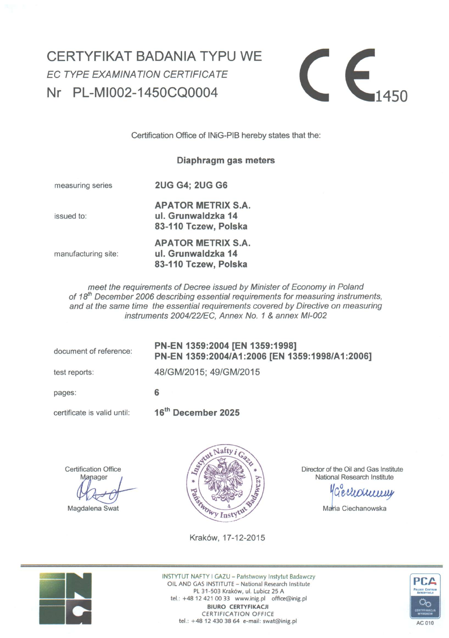# CERTYFIKAT BADANIA TYPU WE *EC TYPE EXAMINATION CERTIFICATE*  Nr PL-MI002-1450CO0004



Certification Office of INiG-PIB hereby states that the:

### **Diaphragm gas meters**

measuring series **2UG G4; 2UG G6** 

**APATOR METRIX S.A.** issued to: **ul. Grunwaldzka 14 83-110 Tczew, Polska** 

**APATOR METRIX S.A.** manufacturing site: **ul. Grunwaldzka 14 83-110 Tczew, Polska** 

*meet the reęuirements of Decree issued by Minister of Economy in Poland*  of 18<sup>th</sup> December 2006 describing essential requirements for measuring instruments, *and at the same time the essential requirements covered by Directive on measuring instruments 2004/22/EC, Annex No. 1 & annex MI-002* 

document of reference:

**6** 

### **PN-EN 1359:2004 [EN 1359:1998] PN-EN 1359:2004/A1:2006 [EN 1359:1998/A1:2006]**

test reports:

48/GM/2015; 49/GM/2015

pages:

certificate is valid until:

**16<sup>t</sup> <sup>h</sup> Decem ber 2025** 

**Certification Office** 

Manager

Magdalena Swat



Director of the Oil and Gas Institute National Research Institute

Géchommy

Maria Ciechanowska

Kraków, 17-12-2015



INSTYTUT NAFTY I GAZU - Państwowy Instytut Badawczy OIL AND GAS INSTITUTE - National Research Institute PL 31-503 Kraków, ul. Lubicz 25 A tel.:+48 12 421 00 33 [www.inig.pl](http://www.inig.pl) [office@inig.pl](mailto:office@inig.pl) **BIURO CERTYFIKACJI**  CERTIFICATION OFFICE tel.: +48 12 430 38 64 e-mail: [swat@inig.pl](mailto:swat@inig.pl)

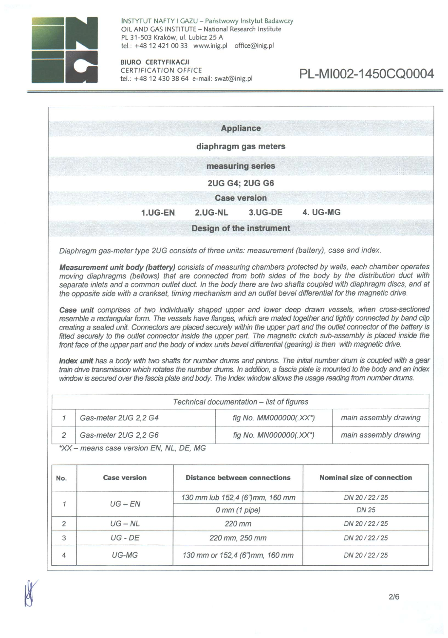

 $\mathbf{r}$ 

INSTYTUT NAFTY I GAZU - Państwowy Instytut Badawczy OIL AND GAS INSTITUTE - National Research Institute PL 31-503 Kraków, ul. Lubicz 25 A tel.:+48 12 421 00 33 [www.inig.pl](http://www.inig.pl) [office@inig.pl](mailto:office@inig.pl)

**BIURO CERTYFIKACJI**  CERTIFICATION OFFICE<br>tel.: +48 12 430 38 64 e-mail: swat@inig.pl

|              |                                                                                                                                                                                                                                                                                                                                                                                                                                                                                                                                                                                                                   |                                           | <b>Appliance</b>                    |          |                                   |
|--------------|-------------------------------------------------------------------------------------------------------------------------------------------------------------------------------------------------------------------------------------------------------------------------------------------------------------------------------------------------------------------------------------------------------------------------------------------------------------------------------------------------------------------------------------------------------------------------------------------------------------------|-------------------------------------------|-------------------------------------|----------|-----------------------------------|
|              |                                                                                                                                                                                                                                                                                                                                                                                                                                                                                                                                                                                                                   |                                           |                                     |          |                                   |
|              |                                                                                                                                                                                                                                                                                                                                                                                                                                                                                                                                                                                                                   |                                           | diaphragm gas meters                |          |                                   |
|              |                                                                                                                                                                                                                                                                                                                                                                                                                                                                                                                                                                                                                   |                                           | measuring series                    |          |                                   |
|              |                                                                                                                                                                                                                                                                                                                                                                                                                                                                                                                                                                                                                   |                                           | <b>2UG G4; 2UG G6</b>               |          |                                   |
|              |                                                                                                                                                                                                                                                                                                                                                                                                                                                                                                                                                                                                                   |                                           | <b>Case version</b>                 |          |                                   |
|              | 1.UG-EN                                                                                                                                                                                                                                                                                                                                                                                                                                                                                                                                                                                                           | 2.UG-NL                                   | 3.UG-DE                             | 4. UG-MG |                                   |
|              |                                                                                                                                                                                                                                                                                                                                                                                                                                                                                                                                                                                                                   |                                           | Design of the instrument            |          |                                   |
|              | Diaphragm gas-meter type 2UG consists of three units: measurement (battery), case and index.                                                                                                                                                                                                                                                                                                                                                                                                                                                                                                                      |                                           |                                     |          |                                   |
|              | separate inlets and a common outlet duct. In the body there are two shafts coupled with diaphragm discs, and at<br>the opposite side with a crankset, timing mechanism and an outlet bevel differential for the magnetic drive.<br>Case unit comprises of two individually shaped upper and lower deep drawn vessels, when cross-sectioned                                                                                                                                                                                                                                                                        |                                           |                                     |          |                                   |
|              | resemble a rectangular form. The vessels have flanges, which are mated together and tightly connected by band clip<br>creating a sealed unit. Connectors are placed securely within the upper part and the outlet connector of the battery is<br>fitted securely to the outlet connector inside the upper part. The magnetic clutch sub-assembly is placed inside the<br>front face of the upper part and the body of index units bevel differential (gearing) is then with magnetic drive.<br>Index unit has a body with two shafts for number drums and pinions. The initial number drum is coupled with a gear |                                           |                                     |          |                                   |
|              | train drive transmission which rotates the number drums. In addition, a fascia plate is mounted to the body and an index<br>window is secured over the fascia plate and body. The Index window allows the usage reading from number drums.                                                                                                                                                                                                                                                                                                                                                                        |                                           |                                     |          |                                   |
|              |                                                                                                                                                                                                                                                                                                                                                                                                                                                                                                                                                                                                                   | Technical documentation - list of figures |                                     |          |                                   |
| $\mathcal I$ | Gas-meter 2UG 2,2 G4                                                                                                                                                                                                                                                                                                                                                                                                                                                                                                                                                                                              |                                           | fig No. MM000000(.XX*)              |          | main assembly drawing             |
| 2            | Gas-meter 2UG 2,2 G6<br>*XX - means case version EN, NL, DE, MG                                                                                                                                                                                                                                                                                                                                                                                                                                                                                                                                                   |                                           | fig No. MN000000(.XX*)              |          | main assembly drawing             |
|              | <b>Case version</b>                                                                                                                                                                                                                                                                                                                                                                                                                                                                                                                                                                                               |                                           | <b>Distance between connections</b> |          | <b>Nominal size of connection</b> |
|              |                                                                                                                                                                                                                                                                                                                                                                                                                                                                                                                                                                                                                   |                                           | 130 mm lub 152,4 (6")mm, 160 mm     |          | DN 20 / 22 / 25                   |
| $\mathcal I$ | $UG$ – $EN$                                                                                                                                                                                                                                                                                                                                                                                                                                                                                                                                                                                                       |                                           | $0$ mm $(1$ pipe)                   |          | <b>DN 25</b>                      |
| 2            | $UG - NL$                                                                                                                                                                                                                                                                                                                                                                                                                                                                                                                                                                                                         |                                           | 220 mm                              |          | DN 20/22/25                       |
| No.<br>3     | $UG$ - $DE$                                                                                                                                                                                                                                                                                                                                                                                                                                                                                                                                                                                                       |                                           | 220 mm, 250 mm                      |          | DN 20/22/25                       |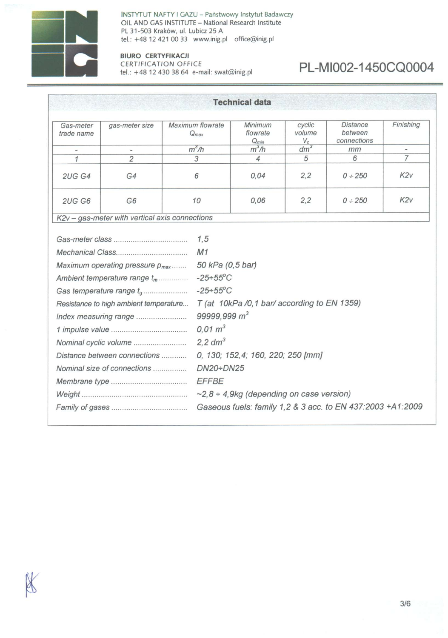

INSTYTUT NAFTY I GAZU - Państwowy Instytut Badawczy OIL AND GAS INSTITUTE - National Research Institute PL 31-503 Kraków, ul. Lubicz 25 A tel.: +48 12 421 00 33 [www.inig.pl](http://www.inig.pl) [office@inig.pl](mailto:office@inig.pl)

### **BIURO CERTYFIKACJI**  CERTIFICATION OFFICE<br>tel.: +48 12 430 38 64 e-mail: swat@inig.pl

# PL-MI002-1450CQ0004

|                         |                                                                                                                                                                                                                                                                                   |                                                                                                                                                                | <b>Technical data</b>                                                                                                                                                                             |                           |                                           |                |
|-------------------------|-----------------------------------------------------------------------------------------------------------------------------------------------------------------------------------------------------------------------------------------------------------------------------------|----------------------------------------------------------------------------------------------------------------------------------------------------------------|---------------------------------------------------------------------------------------------------------------------------------------------------------------------------------------------------|---------------------------|-------------------------------------------|----------------|
| Gas-meter<br>trade name | gas-meter size                                                                                                                                                                                                                                                                    | Maximum flowrate<br>$Q_{max}$                                                                                                                                  | Minimum<br>flowrate<br>$Q_{min}$                                                                                                                                                                  | cyclic<br>volume<br>$V_c$ | <b>Distance</b><br>between<br>connections | Finishing      |
|                         |                                                                                                                                                                                                                                                                                   | $m^3/h$                                                                                                                                                        | $m^3/h$                                                                                                                                                                                           | $dm^3$                    | mm                                        |                |
| $\mathcal{I}$           | $\overline{2}$                                                                                                                                                                                                                                                                    | 3                                                                                                                                                              | 4                                                                                                                                                                                                 | 5                         | 6                                         | $\overline{7}$ |
| <b>2UG G4</b>           | G4                                                                                                                                                                                                                                                                                | 6                                                                                                                                                              | 0,04                                                                                                                                                                                              | 2,2                       | $0 \div 250$                              | K2V            |
| <b>2UG G6</b>           | G <sub>6</sub>                                                                                                                                                                                                                                                                    | 10                                                                                                                                                             | 0.06                                                                                                                                                                                              | 2, 2                      | $0 \div 250$                              | K2V            |
|                         | K2v - gas-meter with vertical axis connections                                                                                                                                                                                                                                    |                                                                                                                                                                |                                                                                                                                                                                                   |                           |                                           |                |
|                         | Maximum operating pressure p <sub>max</sub><br>Ambient temperature range $t_m$<br>Gas temperature range t <sub>a</sub><br>Resistance to high ambient temperature<br>Index measuring range<br>Nominal cyclic volume<br>Distance between connections<br>Nominal size of connections | 1,5<br>M1<br>50 kPa (0,5 bar)<br>$-25+55^{\circ}C$<br>$-25+55^{\circ}C$<br>99999,999 $m3$<br>$0.01 \, \text{m}^3$<br>2,2 $dm^3$<br>$DN20+DN25$<br><b>EFFBE</b> | T (at 10kPa /0,1 bar/ according to EN 1359)<br>0, 130; 152, 4; 160, 220; 250 [mm]<br>$\sim$ 2,8 ÷ 4,9kg (depending on case version)<br>Gaseous fuels: family 1,2 & 3 acc. to EN 437:2003 +A1:2009 |                           |                                           |                |

3/6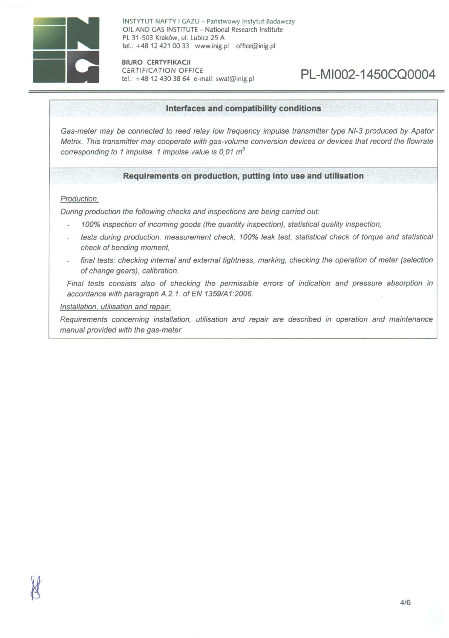

INSTYTUT NAFTY I GAZU - Państwowy Instytut Badawczy OIL AND GAS INSTITUTE - National Research Institute PL 31-503 Kraków, ul. Lubicz 25 A tel.: +48 12 421 00 33 [www.inig.pl](http://www.inig.pl) [office@inig.pl](mailto:office@inig.pl)

**BIURO CERTYFIKACJI**  CERTIFICATION OFFICE tel.: +48 12 430 38 64 e-mail: [swat@inig.pl](mailto:swat@inig.pl)

## PL-MI002-1450CQ0004

#### **Interfaces and compatibility conditions**

*Gas-meter may be connected to reed relay Iow frequency impulse transmitter type NI-3 produced by Apator Metrix. This transmitter may cooperate with gas-volume conversion devices or devices that record the flowrate corresponding to 1 impulse. 1 impulse value is 0,01 m<sup>3</sup> .* 

#### **Reguirements on production, putting into use and utilisation**

#### *Production.*

*During production the following checks and inspections are being carried out:* 

- *100% inspection of incoming goods (the quantity inspection), statistical quality inspection;*
- *tests during production: measurement check, 100% leak test, statistical check of torque and statistical*  check of bending moment,
- *finał tests: checking internal and external tightness, marking, checking the operation of meter (selection ofchange gears), calibration.*

*Finał tests consists also of checking the permissible errors of indication and pressure absorption in accordance with paragraph A.2.1. of EN 1359/A1:2006.* 

*Installation. utilisation and repair.* 

*Requirements concerning installation, utilisation and repair are described in operation and maintenance manuał provided with the gas-meter.*